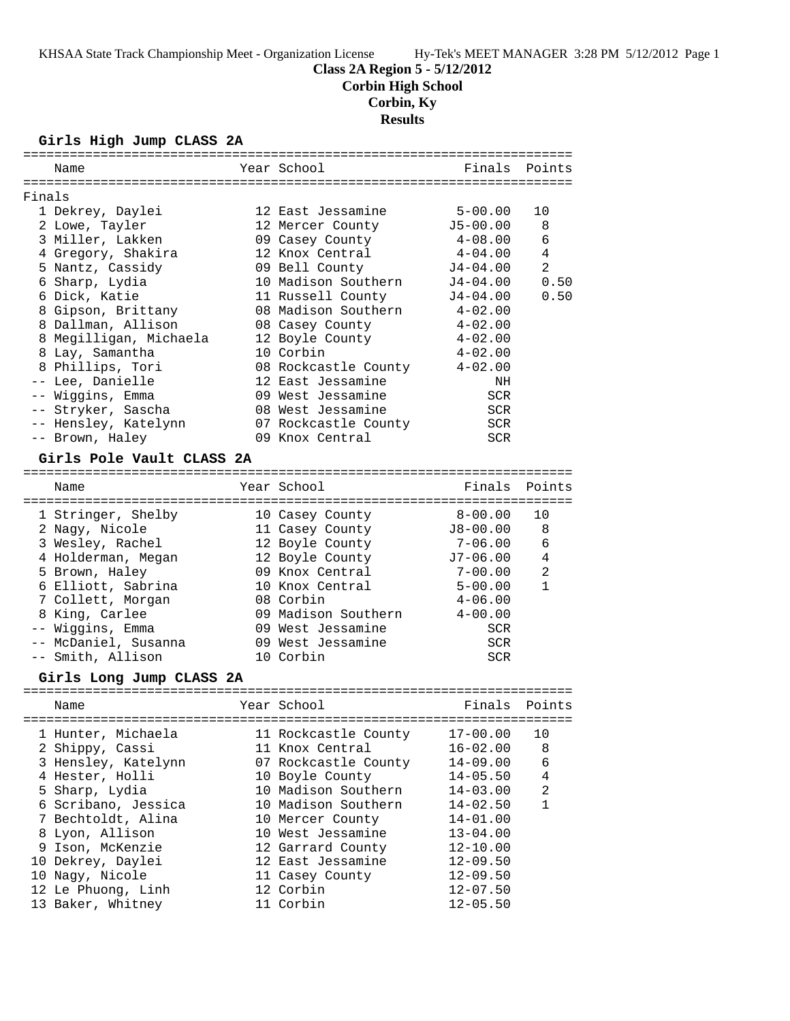### **Class 2A Region 5 - 5/12/2012**

**Corbin High School**

# **Corbin, Ky**

**Results**

#### **Girls High Jump CLASS 2A**

|        | =============             |                      |              |                |
|--------|---------------------------|----------------------|--------------|----------------|
|        | Name                      | Year School          | Finals       | Points         |
|        |                           |                      |              |                |
| Finals |                           |                      |              |                |
|        | 1 Dekrey, Daylei          | 12 East Jessamine    | $5 - 00.00$  | 10             |
|        | 2 Lowe, Tayler            | 12 Mercer County     | $J5 - 00.00$ | 8              |
|        | 3 Miller, Lakken          | 09 Casey County      | $4 - 08.00$  | 6              |
|        | 4 Gregory, Shakira        | 12 Knox Central      | 4-04.00      | 4              |
|        | 5 Nantz, Cassidy          | 09 Bell County       | J4-04.00     | $\overline{a}$ |
|        | 6 Sharp, Lydia            | 10 Madison Southern  | J4-04.00     | 0.50           |
|        | 6 Dick, Katie             | 11 Russell County    | J4-04.00     | 0.50           |
|        | 8 Gipson, Brittany        | 08 Madison Southern  | $4 - 02.00$  |                |
|        | 8 Dallman, Allison        | 08 Casey County      | $4 - 02.00$  |                |
|        | 8 Megilligan, Michaela    | 12 Boyle County      | $4 - 02.00$  |                |
|        | 8 Lay, Samantha           | 10 Corbin            | $4 - 02.00$  |                |
|        | 8 Phillips, Tori          | 08 Rockcastle County | $4 - 02.00$  |                |
|        | -- Lee, Danielle          | 12 East Jessamine    | NH           |                |
|        | -- Wiggins, Emma          | 09 West Jessamine    | <b>SCR</b>   |                |
|        | -- Stryker, Sascha        | 08 West Jessamine    | SCR          |                |
|        | -- Hensley, Katelynn      | 07 Rockcastle County | SCR          |                |
|        | -- Brown, Haley           | 09 Knox Central      | <b>SCR</b>   |                |
|        | Girls Pole Vault CLASS 2A |                      |              |                |
|        |                           |                      |              |                |
|        | Name                      | Year School          | Finals       | Points         |
|        |                           |                      |              |                |
|        | 1 Stringer, Shelby        | 10 Casey County      | $8 - 00.00$  | 10             |
|        | 2 Nagy, Nicole            | 11 Casey County      | $J8 - 00.00$ | 8              |
|        | 3 Wesley, Rachel          | 12 Boyle County      | 7-06.00      | 6              |
|        | 4 Holderman, Megan        | 12 Boyle County      | $J7-06.00$   | 4              |
|        | 5 Brown, Haley            | 09 Knox Central      | $7 - 00.00$  | 2              |
|        | 6 Elliott, Sabrina        | 10 Knox Central      | $5 - 00.00$  | $\mathbf{1}$   |
|        | 7 Collett, Morgan         | 08 Corbin            | $4 - 06.00$  |                |
|        | 8 King, Carlee            | 09 Madison Southern  | $4 - 00.00$  |                |
|        | -- Wiggins, Emma          | 09 West Jessamine    | <b>SCR</b>   |                |
|        | -- McDaniel, Susanna      | 09 West Jessamine    | SCR          |                |
|        | -- Smith, Allison         | 10 Corbin            | <b>SCR</b>   |                |
|        | Girls Long Jump CLASS 2A  |                      |              |                |
|        |                           | Year School          |              |                |
|        | Name                      |                      | Finals       | Points         |
|        | 1 Hunter, Michaela        | 11 Rockcastle County | $17 - 00.00$ | 10             |
|        | 2 Shippy, Cassi           | 11 Knox Central      | $16 - 02.00$ | 8              |
|        | 3 Hensley, Katelynn       | 07 Rockcastle County | $14 - 09.00$ | 6              |
|        | 4 Hester, Holli           | 10 Boyle County      | $14 - 05.50$ | 4              |
|        | 5 Sharp, Lydia            | 10 Madison Southern  | $14 - 03.00$ | $\overline{a}$ |
|        | 6 Scribano, Jessica       | 10 Madison Southern  | $14 - 02.50$ | $\mathbf{1}$   |
|        | 7 Bechtoldt, Alina        | 10 Mercer County     | $14 - 01.00$ |                |
|        | 8 Lyon, Allison           | 10 West Jessamine    | $13 - 04.00$ |                |
|        | 9 Ison, McKenzie          | 12 Garrard County    | $12 - 10.00$ |                |
|        | 10 Dekrey, Daylei         | 12 East Jessamine    | $12 - 09.50$ |                |
|        | 10 Nagy, Nicole           | 11 Casey County      | $12 - 09.50$ |                |
|        | 12 Le Phuong, Linh        | 12 Corbin            | $12 - 07.50$ |                |
|        | 13 Baker, Whitney         | 11 Corbin            | $12 - 05.50$ |                |
|        |                           |                      |              |                |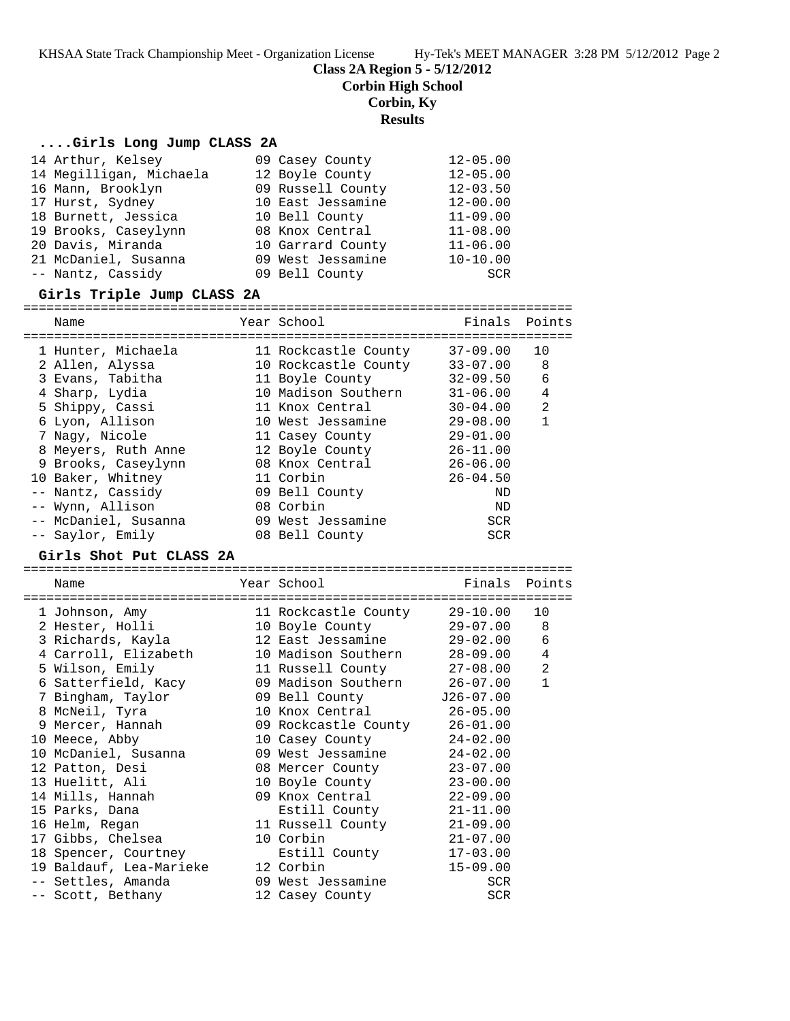**Class 2A Region 5 - 5/12/2012**

**Corbin High School**

**Corbin, Ky**

**Results**

#### **....Girls Long Jump CLASS 2A**

| 14 Arthur, Kelsey       | 09 Casey County   | $12 - 05.00$ |
|-------------------------|-------------------|--------------|
| 14 Megilligan, Michaela | 12 Boyle County   | $12 - 05.00$ |
| 16 Mann, Brooklyn       | 09 Russell County | $12 - 03.50$ |
| 17 Hurst, Sydney        | 10 East Jessamine | $12 - 00.00$ |
| 18 Burnett, Jessica     | 10 Bell County    | $11 - 09.00$ |
| 19 Brooks, Caseylynn    | 08 Knox Central   | $11 - 08.00$ |
| 20 Davis, Miranda       | 10 Garrard County | $11 - 06.00$ |
| 21 McDaniel, Susanna    | 09 West Jessamine | $10 - 10.00$ |
| -- Nantz, Cassidy       | 09 Bell County    | SCR          |

#### **Girls Triple Jump CLASS 2A**

======================================================================= Name The Year School The Finals Points ======================================================================= 1 Hunter, Michaela 11 Rockcastle County 37-09.00 10 2 Allen, Alyssa 10 Rockcastle County 33-07.00 8 3 Evans, Tabitha 11 Boyle County 32-09.50 6 4 Sharp, Lydia 10 Madison Southern 31-06.00 4 5 Shippy, Cassi 11 Knox Central 30-04.00 2 6 Lyon, Allison 10 West Jessamine 29-08.00 1 7 Nagy, Nicole 11 Casey County 29-01.00 8 Meyers, Ruth Anne 12 Boyle County 26-11.00 9 Brooks, Caseylynn 08 Knox Central 26-06.00 10 Baker, Whitney 11 Corbin 26-04.50 -- Nantz, Cassidy 09 Bell County ND -- Wynn, Allison 08 Corbin ND -- McDaniel, Susanna 09 West Jessamine SCR -- Saylor, Emily 08 Bell County SCR

#### **Girls Shot Put CLASS 2A**

======================================================================= Name The Year School The Finals Points ======================================================================= 1 Johnson, Amy 11 Rockcastle County 29-10.00 10 2 Hester, Holli 10 Boyle County 29-07.00 8 3 Richards, Kayla 12 East Jessamine 29-02.00 6 4 Carroll, Elizabeth 10 Madison Southern 28-09.00 4 5 Wilson, Emily 11 Russell County 27-08.00 2 6 Satterfield, Kacy 09 Madison Southern 26-07.00 1 7 Bingham, Taylor 09 Bell County J26-07.00 8 McNeil, Tyra 10 Knox Central 26-05.00 9 Mercer, Hannah 09 Rockcastle County 26-01.00 10 Meece, Abby 10 Casey County 24-02.00 10 McDaniel, Susanna 09 West Jessamine 24-02.00 12 Patton, Desi 08 Mercer County 23-07.00 13 Huelitt, Ali 10 Boyle County 23-00.00 14 Mills, Hannah 09 Knox Central 22-09.00 15 Parks, Dana Estill County 21-11.00 16 Helm, Regan 11 Russell County 21-09.00 17 Gibbs, Chelsea 10 Corbin 21-07.00 18 Spencer, Courtney Estill County 17-03.00 19 Baldauf, Lea-Marieke 12 Corbin 15-09.00 -- Settles, Amanda 09 West Jessamine SCR -- Scott, Bethany 12 Casey County SCR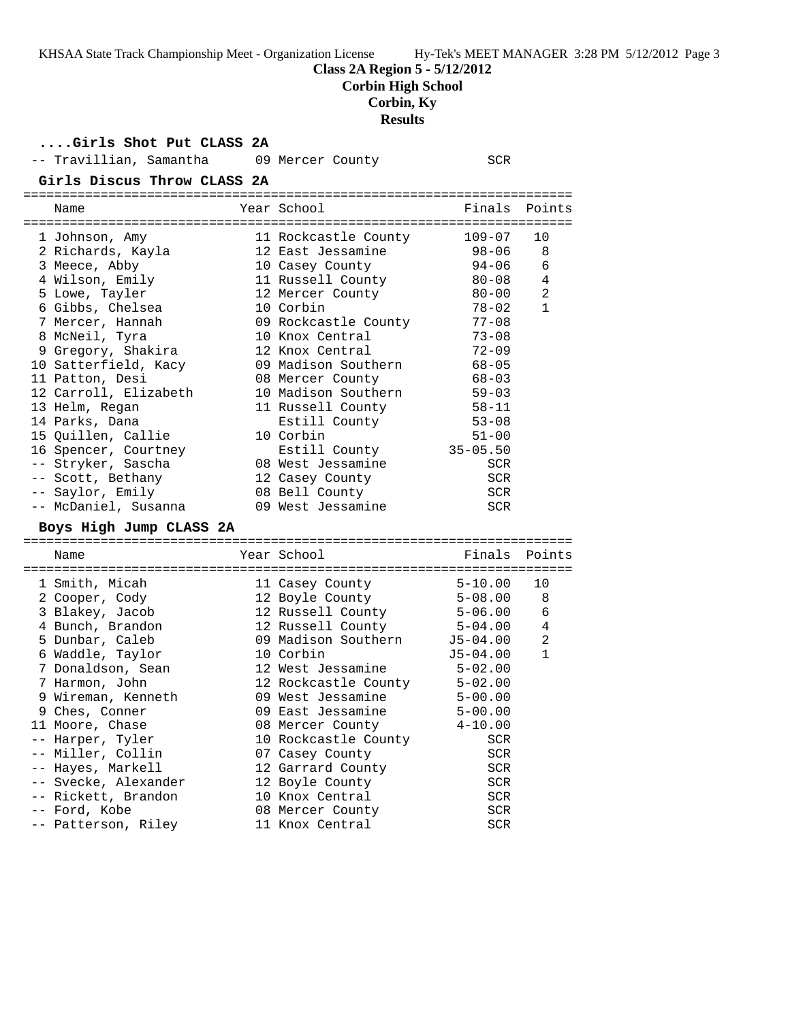### **Class 2A Region 5 - 5/12/2012**

**Corbin High School**

# **Corbin, Ky**

**Results**

**....Girls Shot Put CLASS 2A**

| -- Travillian, Samantha                 | 09 Mercer County     | SCR          |                |
|-----------------------------------------|----------------------|--------------|----------------|
| Girls Discus Throw CLASS 2A             |                      |              |                |
|                                         |                      |              |                |
| Name                                    | Year School          | Finals       | Points         |
| 1 Johnson, Amy                          | 11 Rockcastle County | 109-07       | 10             |
| 2 Richards, Kayla                       | 12 East Jessamine    | 98-06        | 8              |
| 3 Meece, Abby                           | 10 Casey County      | $94 - 06$    | 6              |
| 4 Wilson, Emily                         | 11 Russell County    | $80 - 08$    | 4              |
| 5 Lowe, Tayler                          | 12 Mercer County     | $80 - 00$    | $\overline{2}$ |
| 6 Gibbs, Chelsea                        | 10 Corbin            | $78 - 02$    | $\mathbf{1}$   |
| 7 Mercer, Hannah                        | 09 Rockcastle County | $77 - 08$    |                |
| 8 McNeil, Tyra                          | 10 Knox Central      | $73 - 08$    |                |
| 9 Gregory, Shakira                      | 12 Knox Central      | $72 - 09$    |                |
| 10 Satterfield, Kacy                    | 09 Madison Southern  | $68 - 05$    |                |
| 11 Patton, Desi                         | 08 Mercer County     | $68 - 03$    |                |
|                                         | 10 Madison Southern  | $59 - 03$    |                |
| 12 Carroll, Elizabeth<br>13 Helm, Regan | 11 Russell County    | $58 - 11$    |                |
|                                         |                      | $53 - 08$    |                |
| 14 Parks, Dana                          | Estill County        |              |                |
| 15 Quillen, Callie                      | 10 Corbin            | $51 - 00$    |                |
| 16 Spencer, Courtney                    | Estill County        | $35 - 05.50$ |                |
| -- Stryker, Sascha                      | 08 West Jessamine    | <b>SCR</b>   |                |
| -- Scott, Bethany                       | 12 Casey County      | <b>SCR</b>   |                |
| -- Saylor, Emily                        | 08 Bell County       | SCR          |                |
| -- McDaniel, Susanna                    | 09 West Jessamine    | <b>SCR</b>   |                |
| Boys High Jump CLASS 2A                 |                      |              |                |
| Name                                    | Year School          | Finals       | Points         |
|                                         |                      |              |                |
| 1 Smith, Micah                          | 11 Casey County      | $5 - 10.00$  | 10             |
| 2 Cooper, Cody                          | 12 Boyle County      | $5 - 08.00$  | 8              |
| 3 Blakey, Jacob                         | 12 Russell County    | 5-06.00      | 6              |
| 4 Bunch, Brandon                        | 12 Russell County    | 5-04.00      | 4              |
| 5 Dunbar, Caleb                         | 09 Madison Southern  | $J5 - 04.00$ | 2              |
| 6 Waddle, Taylor                        | 10 Corbin            | $J5 - 04.00$ | $\mathbf{1}$   |
| 7 Donaldson, Sean                       | 12 West Jessamine    | $5 - 02.00$  |                |
| 7 Harmon, John                          | 12 Rockcastle County | $5 - 02.00$  |                |
| 9 Wireman, Kenneth                      | 09 West Jessamine    | $5 - 00.00$  |                |
| 9 Ches, Conner                          | 09 East Jessamine    | $5 - 00.00$  |                |
| 11 Moore, Chase                         | 08 Mercer County     | $4 - 10.00$  |                |
| -- Harper, Tyler                        | 10 Rockcastle County | <b>SCR</b>   |                |
| -- Miller, Collin                       | 07 Casey County      | SCR          |                |
| -- Hayes, Markell                       | 12 Garrard County    | <b>SCR</b>   |                |
| -- Svecke, Alexander                    | 12 Boyle County      | <b>SCR</b>   |                |
| -- Rickett, Brandon                     | 10 Knox Central      | <b>SCR</b>   |                |
| -- Ford, Kobe                           | 08 Mercer County     | <b>SCR</b>   |                |

-- Patterson, Riley 11 Knox Central SCR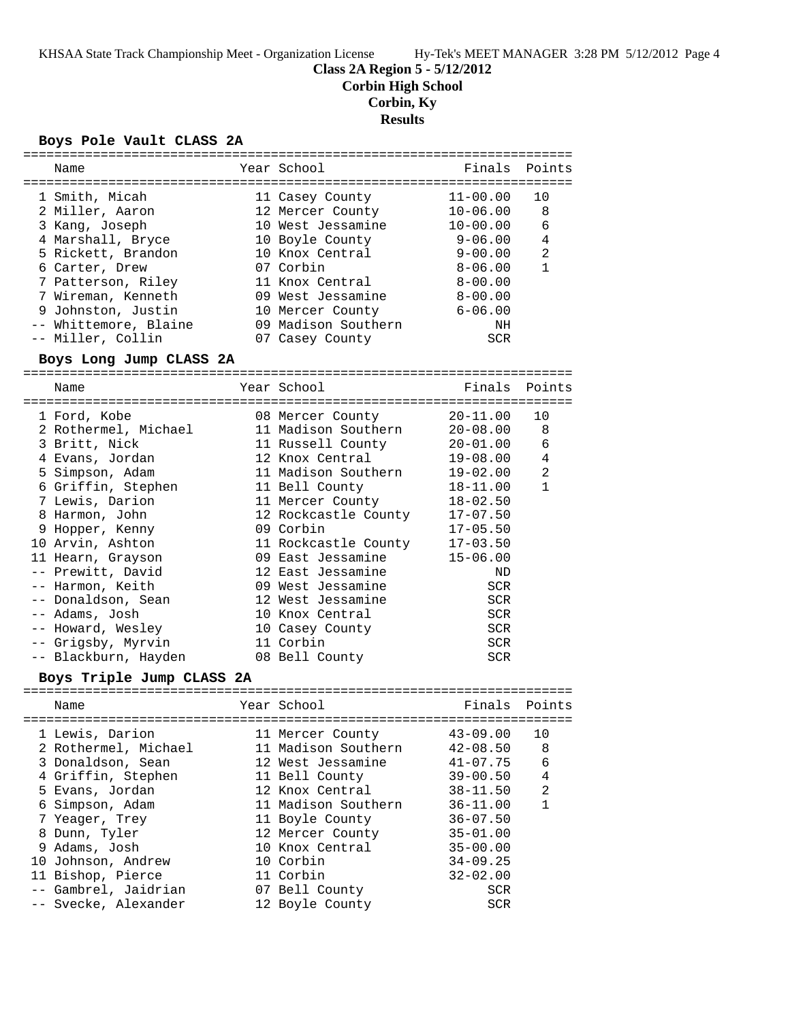**Class 2A Region 5 - 5/12/2012**

**Corbin High School**

**Corbin, Ky**

# **Results**

#### **Boys Pole Vault CLASS 2A**

| Name                                       | Year School          | Finals       | Points         |
|--------------------------------------------|----------------------|--------------|----------------|
|                                            |                      |              |                |
| 1 Smith, Micah                             | 11 Casey County      | $11 - 00.00$ | 10             |
| 2 Miller, Aaron                            | 12 Mercer County     | $10 - 06.00$ | 8              |
| 3 Kang, Joseph                             | 10 West Jessamine    | $10 - 00.00$ | 6              |
| 4 Marshall, Bryce                          | 10 Boyle County      | 9-06.00      | 4              |
| 5 Rickett, Brandon                         | 10 Knox Central      | 9-00.00      | $\overline{a}$ |
| 6 Carter, Drew                             | 07 Corbin            | $8 - 06.00$  | $\mathbf{1}$   |
| 7 Patterson, Riley                         | 11 Knox Central      | $8 - 00.00$  |                |
| 7 Wireman, Kenneth                         | 09 West Jessamine    | $8 - 00.00$  |                |
| 9 Johnston, Justin                         | 10 Mercer County     | $6 - 06.00$  |                |
| -- Whittemore, Blaine                      | 09 Madison Southern  | NH           |                |
| -- Miller, Collin                          | 07 Casey County      | <b>SCR</b>   |                |
| Boys Long Jump CLASS 2A                    |                      |              |                |
| Name                                       | Year School          | Finals       | Points         |
|                                            |                      |              |                |
| 1 Ford, Kobe                               | 08 Mercer County     | $20 - 11.00$ | 10             |
| 2 Rothermel, Michael                       | 11 Madison Southern  | $20 - 08.00$ | 8              |
| 3 Britt, Nick                              | 11 Russell County    | $20 - 01.00$ | 6              |
| 4 Evans, Jordan                            | 12 Knox Central      | $19 - 08.00$ | $\overline{4}$ |
| 5 Simpson, Adam                            | 11 Madison Southern  | $19 - 02.00$ | $\overline{a}$ |
| 6 Griffin, Stephen                         | 11 Bell County       | $18 - 11.00$ | $\mathbf{1}$   |
| 7 Lewis, Darion                            |                      | $18 - 02.50$ |                |
|                                            | 11 Mercer County     |              |                |
| 8 Harmon, John                             | 12 Rockcastle County | $17 - 07.50$ |                |
| 9 Hopper, Kenny                            | 09 Corbin            | $17 - 05.50$ |                |
| 10 Arvin, Ashton                           | 11 Rockcastle County | $17 - 03.50$ |                |
| 11 Hearn, Grayson                          | 09 East Jessamine    | $15 - 06.00$ |                |
| -- Prewitt, David                          | 12 East Jessamine    | ND           |                |
| -- Harmon, Keith                           | 09 West Jessamine    | <b>SCR</b>   |                |
| -- Donaldson, Sean                         | 12 West Jessamine    | SCR          |                |
| -- Adams, Josh                             | 10 Knox Central      | SCR          |                |
| -- Howard, Wesley                          | 10 Casey County      | <b>SCR</b>   |                |
| -- Grigsby, Myrvin                         | 11 Corbin            | SCR          |                |
| -- Blackburn, Hayden                       | 08 Bell County       | SCR          |                |
| Boys Triple Jump CLASS 2A<br>------------- |                      |              |                |
| Name                                       | Year School          | Finals       | Points         |
| 1 Lewis, Darion                            | 11 Mercer County     | $43 - 09.00$ |                |
|                                            | 11 Madison Southern  |              | 10             |
| 2 Rothermel, Michael                       |                      | $42 - 08.50$ | 8              |
| 3 Donaldson, Sean                          | 12 West Jessamine    | $41 - 07.75$ | 6              |
| 4 Griffin, Stephen                         | 11 Bell County       | $39 - 00.50$ | 4              |
| 5 Evans, Jordan                            | 12 Knox Central      | $38 - 11.50$ | 2              |
| 6 Simpson, Adam                            | 11 Madison Southern  | $36 - 11.00$ | $\mathbf{1}$   |
| 7 Yeager, Trey                             | 11 Boyle County      | $36 - 07.50$ |                |
| 8 Dunn, Tyler                              | 12 Mercer County     | $35 - 01.00$ |                |
| 9 Adams, Josh                              | 10 Knox Central      | $35 - 00.00$ |                |
| 10 Johnson, Andrew                         | 10 Corbin            | $34 - 09.25$ |                |
| 11 Bishop, Pierce                          | 11 Corbin            | $32 - 02.00$ |                |
| -- Gambrel, Jaidrian                       | 07 Bell County       | SCR          |                |
| Svecke, Alexander                          | 12 Boyle County      | SCR          |                |
|                                            |                      |              |                |